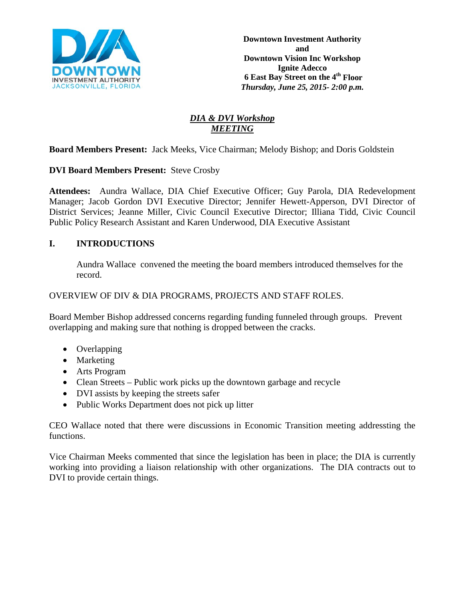

# *DIA & DVI Workshop MEETING*

**Board Members Present:** Jack Meeks, Vice Chairman; Melody Bishop; and Doris Goldstein

## **DVI Board Members Present:** Steve Crosby

**Attendees:** Aundra Wallace, DIA Chief Executive Officer; Guy Parola, DIA Redevelopment Manager; Jacob Gordon DVI Executive Director; Jennifer Hewett-Apperson, DVI Director of District Services; Jeanne Miller, Civic Council Executive Director; Illiana Tidd, Civic Council Public Policy Research Assistant and Karen Underwood, DIA Executive Assistant

# **I. INTRODUCTIONS**

Aundra Wallace convened the meeting the board members introduced themselves for the record.

#### OVERVIEW OF DIV & DIA PROGRAMS, PROJECTS AND STAFF ROLES.

Board Member Bishop addressed concerns regarding funding funneled through groups. Prevent overlapping and making sure that nothing is dropped between the cracks.

- Overlapping
- Marketing
- Arts Program
- Clean Streets Public work picks up the downtown garbage and recycle
- DVI assists by keeping the streets safer
- Public Works Department does not pick up litter

CEO Wallace noted that there were discussions in Economic Transition meeting addressting the functions.

Vice Chairman Meeks commented that since the legislation has been in place; the DIA is currently working into providing a liaison relationship with other organizations. The DIA contracts out to DVI to provide certain things.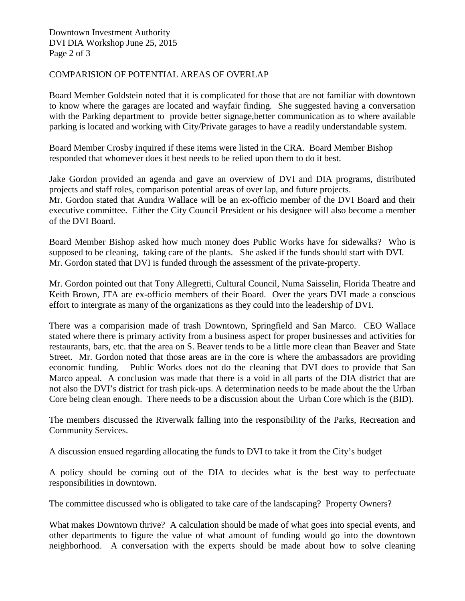## COMPARISION OF POTENTIAL AREAS OF OVERLAP

Board Member Goldstein noted that it is complicated for those that are not familiar with downtown to know where the garages are located and wayfair finding. She suggested having a conversation with the Parking department to provide better signage,better communication as to where available parking is located and working with City/Private garages to have a readily understandable system.

Board Member Crosby inquired if these items were listed in the CRA. Board Member Bishop responded that whomever does it best needs to be relied upon them to do it best.

Jake Gordon provided an agenda and gave an overview of DVI and DIA programs, distributed projects and staff roles, comparison potential areas of over lap, and future projects. Mr. Gordon stated that Aundra Wallace will be an ex-officio member of the DVI Board and their executive committee. Either the City Council President or his designee will also become a member of the DVI Board.

Board Member Bishop asked how much money does Public Works have for sidewalks? Who is supposed to be cleaning, taking care of the plants. She asked if the funds should start with DVI. Mr. Gordon stated that DVI is funded through the assessment of the private-property.

Mr. Gordon pointed out that Tony Allegretti, Cultural Council, Numa Saisselin, Florida Theatre and Keith Brown, JTA are ex-officio members of their Board. Over the years DVI made a conscious effort to intergrate as many of the organizations as they could into the leadership of DVI.

There was a comparision made of trash Downtown, Springfield and San Marco. CEO Wallace stated where there is primary activity from a business aspect for proper businesses and activities for restaurants, bars, etc. that the area on S. Beaver tends to be a little more clean than Beaver and State Street. Mr. Gordon noted that those areas are in the core is where the ambassadors are providing economic funding. Public Works does not do the cleaning that DVI does to provide that San Marco appeal. A conclusion was made that there is a void in all parts of the DIA district that are not also the DVI's district for trash pick-ups. A determination needs to be made about the the Urban Core being clean enough. There needs to be a discussion about the Urban Core which is the (BID).

The members discussed the Riverwalk falling into the responsibility of the Parks, Recreation and Community Services.

A discussion ensued regarding allocating the funds to DVI to take it from the City's budget

A policy should be coming out of the DIA to decides what is the best way to perfectuate responsibilities in downtown.

The committee discussed who is obligated to take care of the landscaping? Property Owners?

What makes Downtown thrive? A calculation should be made of what goes into special events, and other departments to figure the value of what amount of funding would go into the downtown neighborhood. A conversation with the experts should be made about how to solve cleaning